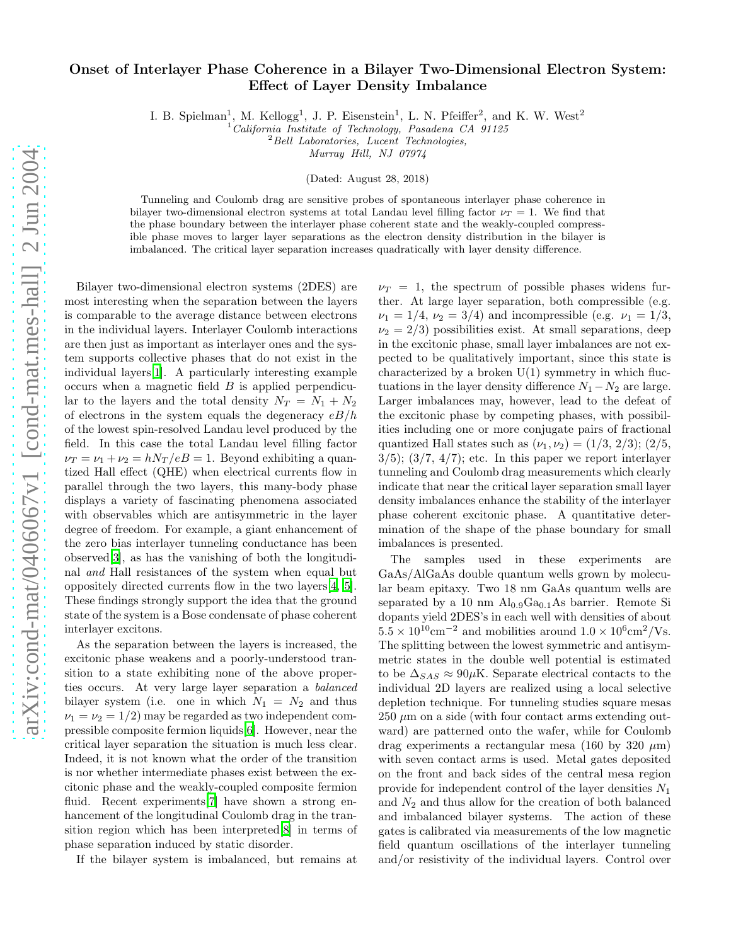## Onset of Interlayer Phase Coherence in a Bilayer Two-Dimensional Electron System: Effect of Layer Density Imbalance

I. B. Spielman<sup>1</sup>, M. Kellogg<sup>1</sup>, J. P. Eisenstein<sup>1</sup>, L. N. Pfeiffer<sup>2</sup>, and K. W. West<sup>2</sup>

 $^{1}$ California Institute of Technology, Pasadena CA 91125

 $2$ Bell Laboratories, Lucent Technologies,

Murray Hill, NJ 07974

(Dated: August 28, 2018)

Tunneling and Coulomb drag are sensitive probes of spontaneous interlayer phase coherence in bilayer two-dimensional electron systems at total Landau level filling factor  $\nu_T = 1$ . We find that the phase boundary between the interlayer phase coherent state and the weakly-coupled compressible phase moves to larger layer separations as the electron density distribution in the bilayer is imbalanced. The critical layer separation increases quadratically with layer density difference.

Bilayer two-dimensional electron systems (2DES) are most interesting when the separation between the layers is comparable to the average distance between electrons in the individual layers. Interlayer Coulomb interactions are then just as important as interlayer ones and the system supports collective phases that do not exist in the individual layers[\[1](#page-3-0)]. A particularly interesting example occurs when a magnetic field  $B$  is applied perpendicular to the layers and the total density  $N_T = N_1 + N_2$ of electrons in the system equals the degeneracy  $eB/h$ of the lowest spin-resolved Landau level produced by the field. In this case the total Landau level filling factor  $\nu_T = \nu_1 + \nu_2 = hN_T/eB = 1$ . Beyond exhibiting a quantized Hall effect (QHE) when electrical currents flow in parallel through the two layers, this many-body phase displays a variety of fascinating phenomena associated with observables which are antisymmetric in the layer degree of freedom. For example, a giant enhancement of the zero bias interlayer tunneling conductance has been observed[\[3\]](#page-3-1), as has the vanishing of both the longitudinal and Hall resistances of the system when equal but oppositely directed currents flow in the two layers[\[4,](#page-3-2) [5\]](#page-3-3). These findings strongly support the idea that the ground state of the system is a Bose condensate of phase coherent interlayer excitons.

As the separation between the layers is increased, the excitonic phase weakens and a poorly-understood transition to a state exhibiting none of the above properties occurs. At very large layer separation a balanced bilayer system (i.e. one in which  $N_1 = N_2$  and thus  $\nu_1 = \nu_2 = 1/2$  may be regarded as two independent compressible composite fermion liquids[\[6\]](#page-3-4). However, near the critical layer separation the situation is much less clear. Indeed, it is not known what the order of the transition is nor whether intermediate phases exist between the excitonic phase and the weakly-coupled composite fermion fluid. Recent experiments<sup>[\[7\]](#page-3-5)</sup> have shown a strong enhancement of the longitudinal Coulomb drag in the transition region which has been interpreted[\[8](#page-3-6)] in terms of phase separation induced by static disorder.

If the bilayer system is imbalanced, but remains at

 $\nu_T = 1$ , the spectrum of possible phases widens further. At large layer separation, both compressible (e.g.  $\nu_1 = 1/4, \nu_2 = 3/4$ ) and incompressible (e.g.  $\nu_1 = 1/3$ ,  $\nu_2 = 2/3$ ) possibilities exist. At small separations, deep in the excitonic phase, small layer imbalances are not expected to be qualitatively important, since this state is characterized by a broken  $U(1)$  symmetry in which fluctuations in the layer density difference  $N_1 - N_2$  are large. Larger imbalances may, however, lead to the defeat of the excitonic phase by competing phases, with possibilities including one or more conjugate pairs of fractional quantized Hall states such as  $(\nu_1, \nu_2) = (1/3, 2/3); (2/5,$  $3/5$ ;  $(3/7, 4/7)$ ; etc. In this paper we report interlayer tunneling and Coulomb drag measurements which clearly indicate that near the critical layer separation small layer density imbalances enhance the stability of the interlayer phase coherent excitonic phase. A quantitative determination of the shape of the phase boundary for small imbalances is presented.

The samples used in these experiments are GaAs/AlGaAs double quantum wells grown by molecular beam epitaxy. Two 18 nm GaAs quantum wells are separated by a 10 nm  $\text{Al}_{0.9}\text{Ga}_{0.1}\text{As barrier}$ . Remote Si dopants yield 2DES's in each well with densities of about  $5.5 \times 10^{10}$  cm<sup>-2</sup> and mobilities around  $1.0 \times 10^{6}$  cm<sup>2</sup>/Vs. The splitting between the lowest symmetric and antisymmetric states in the double well potential is estimated to be  $\Delta_{SAS} \approx 90 \mu K$ . Separate electrical contacts to the individual 2D layers are realized using a local selective depletion technique. For tunneling studies square mesas  $250 \mu m$  on a side (with four contact arms extending outward) are patterned onto the wafer, while for Coulomb drag experiments a rectangular mesa (160 by 320  $\mu$ m) with seven contact arms is used. Metal gates deposited on the front and back sides of the central mesa region provide for independent control of the layer densities  $N_1$ and  $N_2$  and thus allow for the creation of both balanced and imbalanced bilayer systems. The action of these gates is calibrated via measurements of the low magnetic field quantum oscillations of the interlayer tunneling and/or resistivity of the individual layers. Control over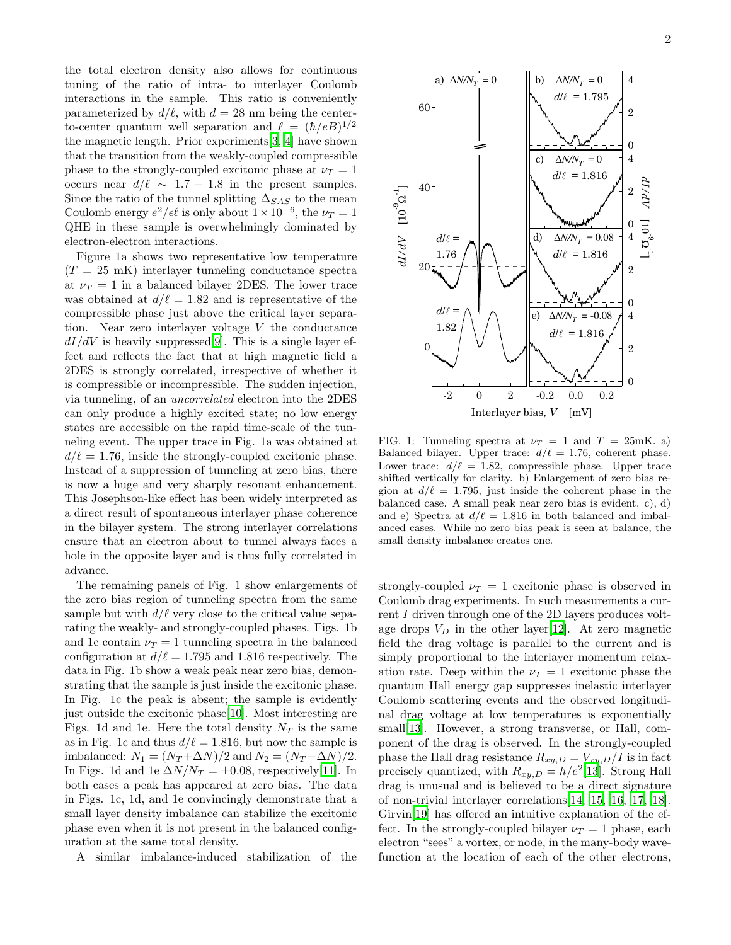the total electron density also allows for continuous tuning of the ratio of intra- to interlayer Coulomb interactions in the sample. This ratio is conveniently parameterized by  $d/\ell$ , with  $d = 28$  nm being the centerto-center quantum well separation and  $\ell = (\hbar/eB)^{1/2}$ the magnetic length. Prior experiments[\[3,](#page-3-1) [4\]](#page-3-2) have shown that the transition from the weakly-coupled compressible phase to the strongly-coupled excitonic phase at  $\nu_T = 1$ occurs near  $d/\ell \sim 1.7 - 1.8$  in the present samples. Since the ratio of the tunnel splitting  $\Delta_{SAS}$  to the mean Coulomb energy  $e^2/\epsilon\ell$  is only about  $1 \times 10^{-6}$ , the  $\nu_T = 1$ QHE in these sample is overwhelmingly dominated by electron-electron interactions.

Figure 1a shows two representative low temperature  $(T = 25 \text{ mK})$  interlayer tunneling conductance spectra at  $\nu_T = 1$  in a balanced bilayer 2DES. The lower trace was obtained at  $d/\ell = 1.82$  and is representative of the compressible phase just above the critical layer separation. Near zero interlayer voltage V the conductance  $dI/dV$  is heavily suppressed[\[9\]](#page-3-7). This is a single layer effect and reflects the fact that at high magnetic field a 2DES is strongly correlated, irrespective of whether it is compressible or incompressible. The sudden injection, via tunneling, of an uncorrelated electron into the 2DES can only produce a highly excited state; no low energy states are accessible on the rapid time-scale of the tunneling event. The upper trace in Fig. 1a was obtained at  $d/\ell = 1.76$ , inside the strongly-coupled excitonic phase. Instead of a suppression of tunneling at zero bias, there is now a huge and very sharply resonant enhancement. This Josephson-like effect has been widely interpreted as a direct result of spontaneous interlayer phase coherence in the bilayer system. The strong interlayer correlations ensure that an electron about to tunnel always faces a hole in the opposite layer and is thus fully correlated in advance.

The remaining panels of Fig. 1 show enlargements of the zero bias region of tunneling spectra from the same sample but with  $d/\ell$  very close to the critical value separating the weakly- and strongly-coupled phases. Figs. 1b and 1c contain  $\nu_T = 1$  tunneling spectra in the balanced configuration at  $d/\ell = 1.795$  and 1.816 respectively. The data in Fig. 1b show a weak peak near zero bias, demonstrating that the sample is just inside the excitonic phase. In Fig. 1c the peak is absent; the sample is evidently just outside the excitonic phase[\[10\]](#page-3-8). Most interesting are Figs. 1d and 1e. Here the total density  $N_T$  is the same as in Fig. 1c and thus  $d/\ell = 1.816$ , but now the sample is imbalanced:  $N_1 = (N_T + \Delta N)/2$  and  $N_2 = (N_T - \Delta N)/2$ . In Figs. 1d and 1e  $\Delta N/N_T = \pm 0.08$ , respectively[\[11](#page-3-9)]. In both cases a peak has appeared at zero bias. The data in Figs. 1c, 1d, and 1e convincingly demonstrate that a small layer density imbalance can stabilize the excitonic phase even when it is not present in the balanced configuration at the same total density.

A similar imbalance-induced stabilization of the



FIG. 1: Tunneling spectra at  $\nu_T = 1$  and  $T = 25 \text{mK}$ . a) Balanced bilayer. Upper trace:  $d/\ell = 1.76$ , coherent phase. Lower trace:  $d/\ell = 1.82$ , compressible phase. Upper trace shifted vertically for clarity. b) Enlargement of zero bias region at  $d/\ell = 1.795$ , just inside the coherent phase in the balanced case. A small peak near zero bias is evident. c), d) and e) Spectra at  $d/\ell = 1.816$  in both balanced and imbalanced cases. While no zero bias peak is seen at balance, the small density imbalance creates one.

strongly-coupled  $\nu_T = 1$  excitonic phase is observed in Coulomb drag experiments. In such measurements a current I driven through one of the 2D layers produces voltage drops  $V_D$  in the other layer[\[12\]](#page-3-10). At zero magnetic field the drag voltage is parallel to the current and is simply proportional to the interlayer momentum relaxation rate. Deep within the  $\nu_T = 1$  excitonic phase the quantum Hall energy gap suppresses inelastic interlayer Coulomb scattering events and the observed longitudinal drag voltage at low temperatures is exponentially small<sup>[\[13\]](#page-3-11)</sup>. However, a strong transverse, or Hall, component of the drag is observed. In the strongly-coupled phase the Hall drag resistance  $R_{xy,D} = V_{xy,D}/I$  is in fact precisely quantized, with  $R_{xy,D} = h/e^2[13]$  $R_{xy,D} = h/e^2[13]$  $R_{xy,D} = h/e^2[13]$ . Strong Hall drag is unusual and is believed to be a direct signature of non-trivial interlayer correlations[\[14,](#page-3-12) [15,](#page-3-13) [16](#page-3-14), [17,](#page-3-15) [18\]](#page-3-16). Girvin[\[19\]](#page-3-17) has offered an intuitive explanation of the effect. In the strongly-coupled bilayer  $\nu_T = 1$  phase, each electron "sees" a vortex, or node, in the many-body wavefunction at the location of each of the other electrons,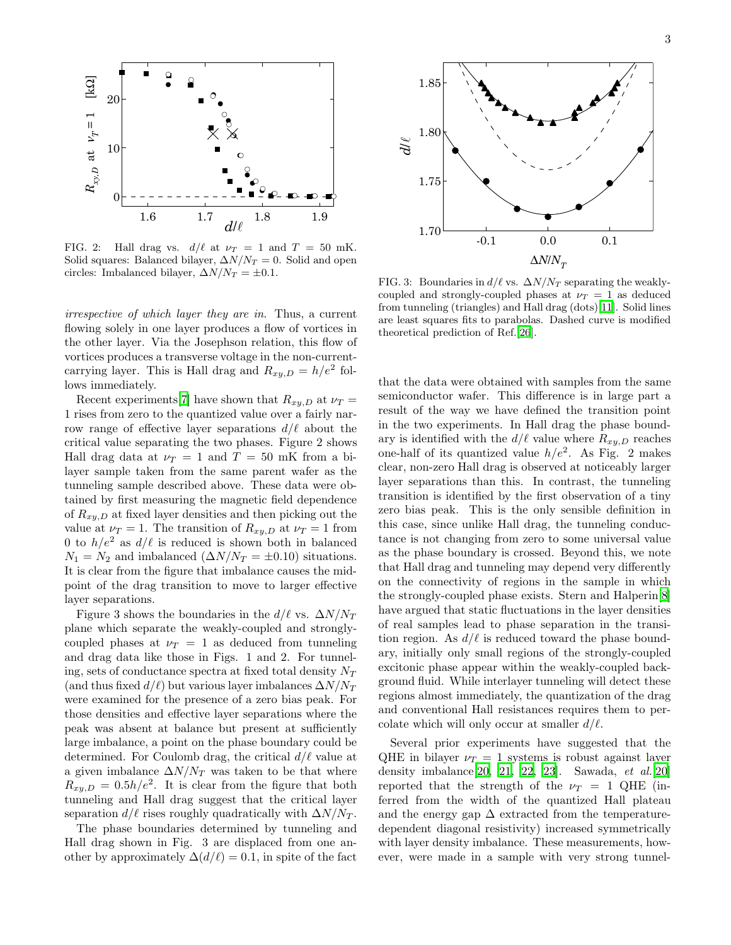

FIG. 2: Hall drag vs.  $d/\ell$  at  $\nu_T = 1$  and  $T = 50$  mK. Solid squares: Balanced bilayer,  $\Delta N/N_T = 0$ . Solid and open circles: Imbalanced bilayer,  $\Delta N/N_T = \pm 0.1$ .

irrespective of which layer they are in. Thus, a current flowing solely in one layer produces a flow of vortices in the other layer. Via the Josephson relation, this flow of vortices produces a transverse voltage in the non-currentcarrying layer. This is Hall drag and  $R_{xy,D} = h/e^2$  follows immediately.

Recent experiments[\[7\]](#page-3-5) have shown that  $R_{xy,D}$  at  $\nu_T$  = 1 rises from zero to the quantized value over a fairly narrow range of effective layer separations  $d/\ell$  about the critical value separating the two phases. Figure 2 shows Hall drag data at  $\nu_T = 1$  and  $T = 50$  mK from a bilayer sample taken from the same parent wafer as the tunneling sample described above. These data were obtained by first measuring the magnetic field dependence of  $R_{xy,D}$  at fixed layer densities and then picking out the value at  $\nu_T = 1$ . The transition of  $R_{xy,D}$  at  $\nu_T = 1$  from 0 to  $h/e^2$  as  $d/\ell$  is reduced is shown both in balanced  $N_1 = N_2$  and imbalanced  $(\Delta N/N_T = \pm 0.10)$  situations. It is clear from the figure that imbalance causes the midpoint of the drag transition to move to larger effective layer separations.

Figure 3 shows the boundaries in the  $d/\ell$  vs.  $\Delta N/N_T$ plane which separate the weakly-coupled and stronglycoupled phases at  $\nu_T = 1$  as deduced from tunneling and drag data like those in Figs. 1 and 2. For tunneling, sets of conductance spectra at fixed total density  $N_T$ (and thus fixed  $d/\ell$ ) but various layer imbalances  $\Delta N/N_T$ were examined for the presence of a zero bias peak. For those densities and effective layer separations where the peak was absent at balance but present at sufficiently large imbalance, a point on the phase boundary could be determined. For Coulomb drag, the critical  $d/\ell$  value at a given imbalance  $\Delta N/N_T$  was taken to be that where  $R_{xy,D} = 0.5h/e^2$ . It is clear from the figure that both tunneling and Hall drag suggest that the critical layer separation  $d/\ell$  rises roughly quadratically with  $\Delta N/N_T$ .

The phase boundaries determined by tunneling and Hall drag shown in Fig. 3 are displaced from one another by approximately  $\Delta(d/\ell) = 0.1$ , in spite of the fact



FIG. 3: Boundaries in  $d/\ell$  vs.  $\Delta N/N_T$  separating the weaklycoupled and strongly-coupled phases at  $\nu_T = 1$  as deduced from tunneling (triangles) and Hall drag (dots)[\[11](#page-3-9)]. Solid lines are least squares fits to parabolas. Dashed curve is modified theoretical prediction of Ref.[\[26](#page-3-18)].

that the data were obtained with samples from the same semiconductor wafer. This difference is in large part a result of the way we have defined the transition point in the two experiments. In Hall drag the phase boundary is identified with the  $d/\ell$  value where  $R_{xy,D}$  reaches one-half of its quantized value  $h/e^2$ . As Fig. 2 makes clear, non-zero Hall drag is observed at noticeably larger layer separations than this. In contrast, the tunneling transition is identified by the first observation of a tiny zero bias peak. This is the only sensible definition in this case, since unlike Hall drag, the tunneling conductance is not changing from zero to some universal value as the phase boundary is crossed. Beyond this, we note that Hall drag and tunneling may depend very differently on the connectivity of regions in the sample in which the strongly-coupled phase exists. Stern and Halperin[\[8](#page-3-6)] have argued that static fluctuations in the layer densities of real samples lead to phase separation in the transition region. As  $d/\ell$  is reduced toward the phase boundary, initially only small regions of the strongly-coupled excitonic phase appear within the weakly-coupled background fluid. While interlayer tunneling will detect these regions almost immediately, the quantization of the drag and conventional Hall resistances requires them to percolate which will only occur at smaller  $d/\ell$ .

Several prior experiments have suggested that the QHE in bilayer  $\nu_T = 1$  systems is robust against layer density imbalance [\[20,](#page-3-19) [21](#page-3-20), [22,](#page-3-21) [23](#page-3-22)]. Sawada,  $et \ al. [20]$  $et \ al. [20]$  $et \ al. [20]$ reported that the strength of the  $\nu_T = 1$  QHE (inferred from the width of the quantized Hall plateau and the energy gap  $\Delta$  extracted from the temperaturedependent diagonal resistivity) increased symmetrically with layer density imbalance. These measurements, however, were made in a sample with very strong tunnel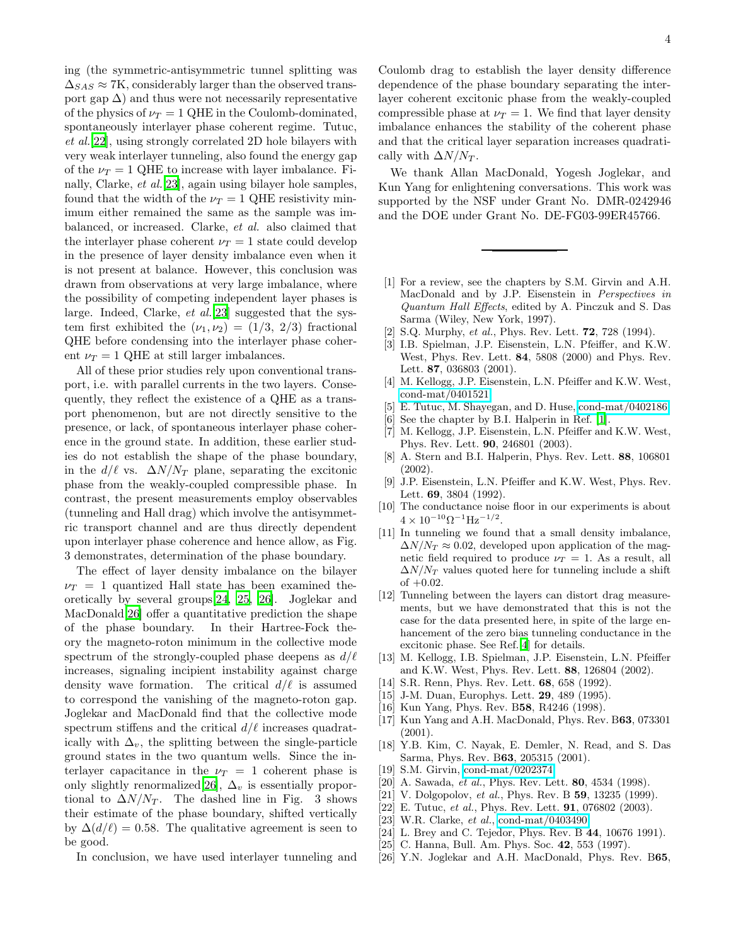ing (the symmetric-antisymmetric tunnel splitting was  $\Delta_{SAS} \approx 7$ K, considerably larger than the observed transport gap  $\Delta$ ) and thus were not necessarily representative of the physics of  $\nu_T = 1$  QHE in the Coulomb-dominated, spontaneously interlayer phase coherent regime. Tutuc, et al.[\[22\]](#page-3-21), using strongly correlated 2D hole bilayers with very weak interlayer tunneling, also found the energy gap of the  $\nu_T = 1$  QHE to increase with layer imbalance. Finally, Clarke, et al.[\[23](#page-3-22)], again using bilayer hole samples, found that the width of the  $\nu_T = 1$  QHE resistivity minimum either remained the same as the sample was imbalanced, or increased. Clarke, et al. also claimed that the interlayer phase coherent  $\nu_T = 1$  state could develop in the presence of layer density imbalance even when it is not present at balance. However, this conclusion was drawn from observations at very large imbalance, where the possibility of competing independent layer phases is large. Indeed, Clarke, et al.[\[23](#page-3-22)] suggested that the system first exhibited the  $(\nu_1, \nu_2) = (1/3, 2/3)$  fractional QHE before condensing into the interlayer phase coherent  $\nu_T = 1$  QHE at still larger imbalances.

All of these prior studies rely upon conventional transport, i.e. with parallel currents in the two layers. Consequently, they reflect the existence of a QHE as a transport phenomenon, but are not directly sensitive to the presence, or lack, of spontaneous interlayer phase coherence in the ground state. In addition, these earlier studies do not establish the shape of the phase boundary, in the  $d/\ell$  vs.  $\Delta N/N_T$  plane, separating the excitonic phase from the weakly-coupled compressible phase. In contrast, the present measurements employ observables (tunneling and Hall drag) which involve the antisymmetric transport channel and are thus directly dependent upon interlayer phase coherence and hence allow, as Fig. 3 demonstrates, determination of the phase boundary.

The effect of layer density imbalance on the bilayer  $\nu_T = 1$  quantized Hall state has been examined theoretically by several groups[\[24,](#page-3-23) [25,](#page-3-24) [26](#page-3-18)]. Joglekar and MacDonald[\[26\]](#page-3-18) offer a quantitative prediction the shape of the phase boundary. In their Hartree-Fock theory the magneto-roton minimum in the collective mode spectrum of the strongly-coupled phase deepens as  $d/\ell$ increases, signaling incipient instability against charge density wave formation. The critical  $d/\ell$  is assumed to correspond the vanishing of the magneto-roton gap. Joglekar and MacDonald find that the collective mode spectrum stiffens and the critical  $d/\ell$  increases quadratically with  $\Delta_v$ , the splitting between the single-particle ground states in the two quantum wells. Since the interlayer capacitance in the  $\nu_T = 1$  coherent phase is only slightly renormalized[\[26\]](#page-3-18),  $\Delta_v$  is essentially proportional to  $\Delta N/N_T$ . The dashed line in Fig. 3 shows their estimate of the phase boundary, shifted vertically by  $\Delta(d/\ell) = 0.58$ . The qualitative agreement is seen to be good.

In conclusion, we have used interlayer tunneling and

Coulomb drag to establish the layer density difference dependence of the phase boundary separating the interlayer coherent excitonic phase from the weakly-coupled compressible phase at  $\nu_T = 1$ . We find that layer density imbalance enhances the stability of the coherent phase and that the critical layer separation increases quadratically with  $\Delta N/N_T$ .

We thank Allan MacDonald, Yogesh Joglekar, and Kun Yang for enlightening conversations. This work was supported by the NSF under Grant No. DMR-0242946 and the DOE under Grant No. DE-FG03-99ER45766.

- <span id="page-3-0"></span>[1] For a review, see the chapters by S.M. Girvin and A.H. MacDonald and by J.P. Eisenstein in Perspectives in Quantum Hall Effects, edited by A. Pinczuk and S. Das Sarma (Wiley, New York, 1997).
- [2] S.Q. Murphy, et al., Phys. Rev. Lett. **72**, 728 (1994).
- <span id="page-3-1"></span>[3] I.B. Spielman, J.P. Eisenstein, L.N. Pfeiffer, and K.W. West, Phys. Rev. Lett. 84, 5808 (2000) and Phys. Rev. Lett. 87, 036803 (2001).
- <span id="page-3-2"></span>[4] M. Kellogg, J.P. Eisenstein, L.N. Pfeiffer and K.W. West, [cond-mat/0401521.](http://arxiv.org/abs/cond-mat/0401521)
- <span id="page-3-3"></span>[5] E. Tutuc, M. Shayegan, and D. Huse, [cond-mat/0402186.](http://arxiv.org/abs/cond-mat/0402186)
- [6] See the chapter by B.I. Halperin in Ref. [\[1\]](#page-3-0).
- <span id="page-3-5"></span><span id="page-3-4"></span>[7] M. Kellogg, J.P. Eisenstein, L.N. Pfeiffer and K.W. West, Phys. Rev. Lett. 90, 246801 (2003).
- <span id="page-3-6"></span>[8] A. Stern and B.I. Halperin, Phys. Rev. Lett. 88, 106801 (2002).
- [9] J.P. Eisenstein, L.N. Pfeiffer and K.W. West, Phys. Rev. Lett. 69, 3804 (1992).
- <span id="page-3-8"></span><span id="page-3-7"></span>[10] The conductance noise floor in our experiments is about  $4 \times 10^{-10} \Omega^{-1} \text{Hz}^{-1/2}.$
- <span id="page-3-9"></span>[11] In tunneling we found that a small density imbalance,  $\Delta N/N_T \approx 0.02$ , developed upon application of the magnetic field required to produce  $\nu_T = 1$ . As a result, all  $\Delta N/N_T$  values quoted here for tunneling include a shift of  $+0.02$ .
- <span id="page-3-10"></span>[12] Tunneling between the layers can distort drag measurements, but we have demonstrated that this is not the case for the data presented here, in spite of the large enhancement of the zero bias tunneling conductance in the excitonic phase. See Ref.[\[4\]](#page-3-2) for details.
- <span id="page-3-11"></span>[13] M. Kellogg, I.B. Spielman, J.P. Eisenstein, L.N. Pfeiffer and K.W. West, Phys. Rev. Lett. 88, 126804 (2002).
- <span id="page-3-12"></span>[14] S.R. Renn, Phys. Rev. Lett. **68**, 658 (1992).
- <span id="page-3-14"></span><span id="page-3-13"></span>[15] J-M. Duan, Europhys. Lett. **29**, 489 (1995).
- [16] Kun Yang, Phys. Rev. B58, R4246 (1998).
- <span id="page-3-15"></span>[17] Kun Yang and A.H. MacDonald, Phys. Rev. B63, 073301 (2001).
- <span id="page-3-16"></span>[18] Y.B. Kim, C. Nayak, E. Demler, N. Read, and S. Das Sarma, Phys. Rev. B63, 205315 (2001).
- [19] S.M. Girvin, [cond-mat/0202374.](http://arxiv.org/abs/cond-mat/0202374)
- <span id="page-3-20"></span><span id="page-3-19"></span><span id="page-3-17"></span>[20] A. Sawada, et al., Phys. Rev. Lett. **80**, 4534 (1998).
- [21] V. Dolgopolov, et al., Phys. Rev. B  $59$ , 13235 (1999).
- [22] E. Tutuc, et al., Phys. Rev. Lett.  $91, 076802$  (2003).
- <span id="page-3-23"></span><span id="page-3-22"></span><span id="page-3-21"></span>[23] W.R. Clarke, et al., [cond-mat/0403490.](http://arxiv.org/abs/cond-mat/0403490)
- [24] L. Brey and C. Tejedor, Phys. Rev. B 44, 10676 1991).
- <span id="page-3-24"></span>[25] C. Hanna, Bull. Am. Phys. Soc. 42, 553 (1997).
- <span id="page-3-18"></span>[26] Y.N. Joglekar and A.H. MacDonald, Phys. Rev. B65,